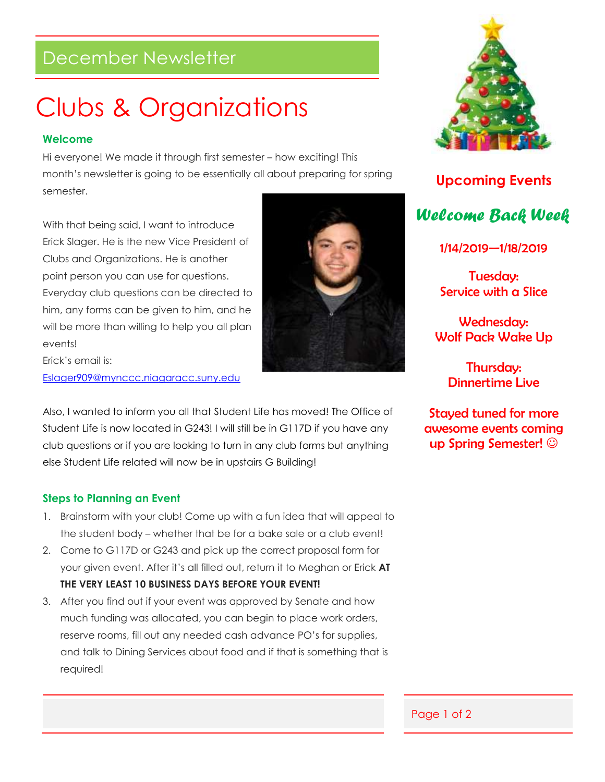### December Newsletter

## Clubs & Organizations

#### **Welcome**

Hi everyone! We made it through first semester – how exciting! This month's newsletter is going to be essentially all about preparing for spring semester.

With that being said, I want to introduce Erick Slager. He is the new Vice President of Clubs and Organizations. He is another point person you can use for questions. Everyday club questions can be directed to him, any forms can be given to him, and he will be more than willing to help you all plan events!

Erick's email is: [Eslager909@mynccc.niagaracc.suny.edu](mailto:Eslager909@mynccc.niagaracc.suny.edu)

Also, I wanted to inform you all that Student Life has moved! The Office of Student Life is now located in G243! I will still be in G117D if you have any club questions or if you are looking to turn in any club forms but anything else Student Life related will now be in upstairs G Building!

#### **Steps to Planning an Event**

- 1. Brainstorm with your club! Come up with a fun idea that will appeal to the student body – whether that be for a bake sale or a club event!
- 2. Come to G117D or G243 and pick up the correct proposal form for your given event. After it's all filled out, return it to Meghan or Erick **AT THE VERY LEAST 10 BUSINESS DAYS BEFORE YOUR EVENT!**
- 3. After you find out if your event was approved by Senate and how much funding was allocated, you can begin to place work orders, reserve rooms, fill out any needed cash advance PO's for supplies, and talk to Dining Services about food and if that is something that is required!





**Upcoming Events** *Welcome Back Week*

1/14/2019—1/18/2019

Tuesday: Service with a Slice

Wednesday: Wolf Pack Wake Up

> Thursday: Dinnertime Live

Stayed tuned for more awesome events coming up Spring Semester! ©

Page 1 of 2